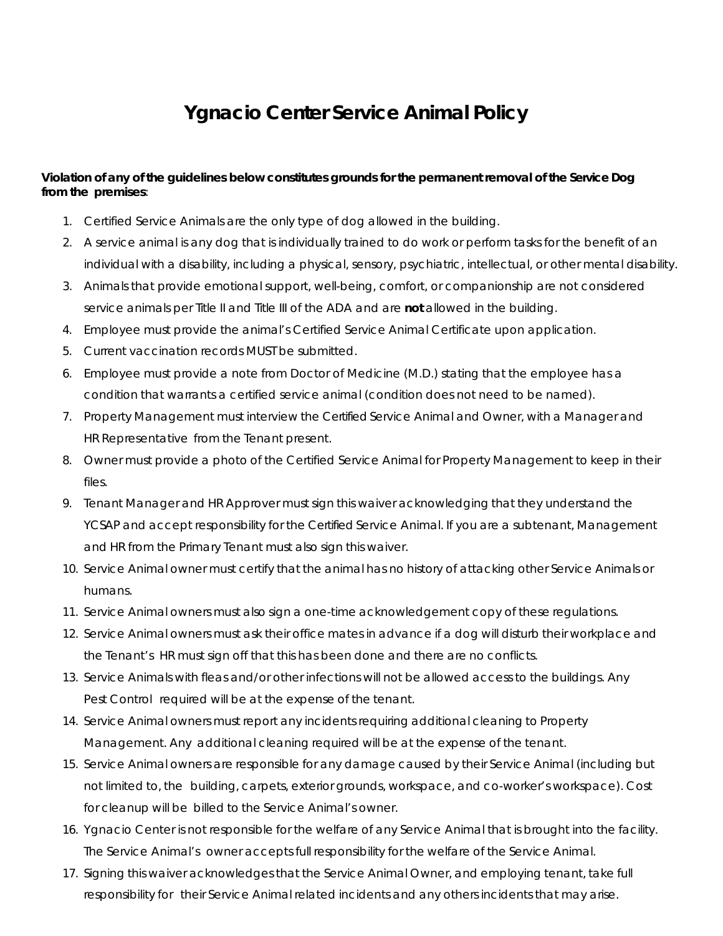## **Ygnacio Center Service Animal Policy**

## **Violation of any of the guidelines below constitutes grounds for the permanent removal of the Service Dog from the premises**:

- 1. Certified Service Animals are the only type of dog allowed in the building.
- 2. A service animal is any dog that is individually trained to do work or perform tasks for the benefit of an individual with a disability, including a physical, sensory, psychiatric, intellectual, or other mental disability.
- 3. Animals that provide emotional support, well-being, comfort, or companionship are not considered service animals per Title II and Title III of the ADA and are **not** allowed in the building.
- 4. Employee must provide the animal's Certified Service Animal Certificate upon application.
- 5. Current vaccination records MUST be submitted.
- 6. Employee must provide a note from Doctor of Medicine (M.D.) stating that the employee has a condition that warrants a certified service animal (condition does not need to be named).
- 7. Property Management must interview the Certified Service Animal and Owner, with a Manager and HR Representative from the Tenant present.
- 8. Owner must provide a photo of the Certified Service Animal for Property Management to keep in their files.
- 9. Tenant Manager and HR Approver must sign this waiver acknowledging that they understand the YCSAP and accept responsibility for the Certified Service Animal. If you are a subtenant, Management and HR from the Primary Tenant must also sign this waiver.
- 10. Service Animal owner must certify that the animal has no history of attacking other Service Animals or humans.
- 11. Service Animal owners must also sign a one-time acknowledgement copy of these regulations.
- 12. Service Animal owners must ask their office mates in advance if a dog will disturb their workplace and the Tenant's HR must sign off that this has been done and there are no conflicts.
- 13. Service Animals with fleas and/or other infections will not be allowed access to the buildings. Any Pest Control required will be at the expense of the tenant.
- 14. Service Animal owners must report any incidents requiring additional cleaning to Property Management. Any additional cleaning required will be at the expense of the tenant.
- 15. Service Animal owners are responsible for any damage caused by their Service Animal (including but not limited to, the building, carpets, exterior grounds, workspace, and co-worker's workspace). Cost for cleanup will be billed to the Service Animal's owner.
- 16. Ygnacio Center is not responsible for the welfare of any Service Animal that is brought into the facility. The Service Animal's owner accepts full responsibility for the welfare of the Service Animal.
- 17. Signing this waiver acknowledges that the Service Animal Owner, and employing tenant, take full responsibility for their Service Animal related incidents and any others incidents that may arise.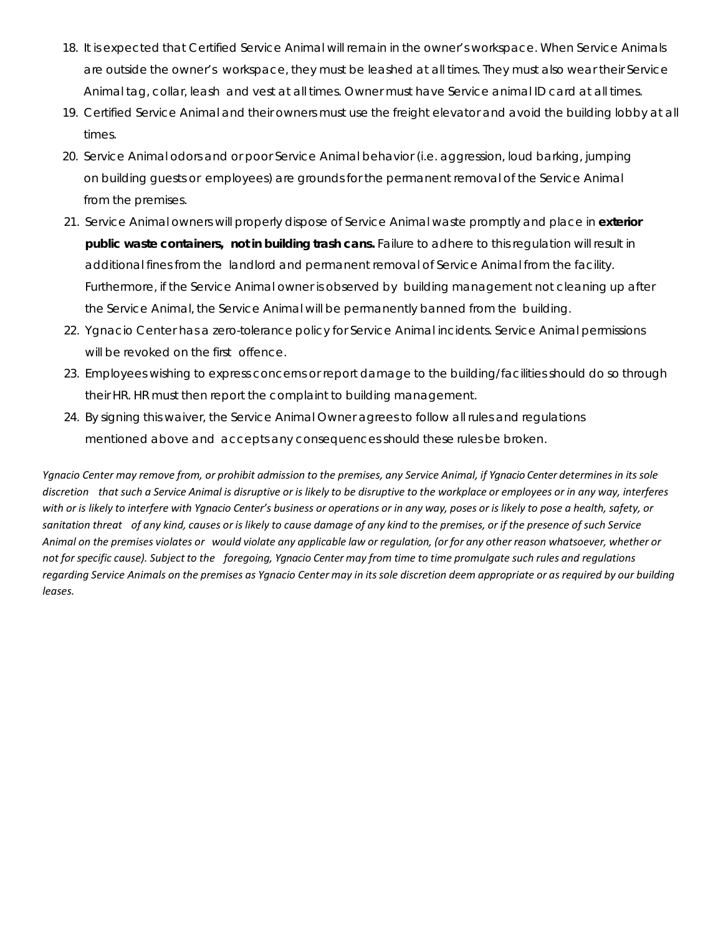- 18. It is expected that Certified Service Animal will remain in the owner's workspace. When Service Animals are outside the owner's workspace, they must be leashed at all times. They must also wear their Service Animal tag, collar, leash and vest at all times. Owner must have Service animal ID card at all times.
- 19. Certified Service Animal and their owners must use the freight elevator and avoid the building lobby at all times.
- 20. Service Animal odors and or poor Service Animal behavior (i.e. aggression, loud barking, jumping on building guests or employees) are grounds for the permanent removal of the Service Animal from the premises.
- 21. Service Animal owners will properly dispose of Service Animal waste promptly and place in **exterior public waste containers, not in building trash cans.** Failure to adhere to this regulation will result in additional fines from the landlord and permanent removal of Service Animal from the facility. Furthermore, if the Service Animal owner is observed by building management not cleaning up after the Service Animal, the Service Animal will be permanently banned from the building.
- 22. Ygnacio Center has a zero-tolerance policy for Service Animal incidents. Service Animal permissions will be revoked on the first offence.
- 23. Employees wishing to express concerns or report damage to the building/facilities should do so through their HR. HR must then report the complaint to building management.
- 24. By signing this waiver, the Service Animal Owner agrees to follow all rules and regulations mentioned above and accepts any consequences should these rules be broken.

Ygnacio Center may remove from, or prohibit admission to the premises, any Service Animal, if Ygnacio Center determines in its sole discretion that such a Service Animal is disruptive or is likely to be disruptive to the workplace or employees or in any way, interferes with or is likely to interfere with Ygnacio Center's business or operations or in any way, poses or is likely to pose a health, safety, or sanitation threat of any kind, causes or is likely to cause damage of any kind to the premises, or if the presence of such Service Animal on the premises violates or would violate any applicable law or regulation, (or for any other reason whatsoever, whether or not for specific cause). Subject to the foregoing, Ygnacio Center may from time to time promulgate such rules and regulations regarding Service Animals on the premises as Ygnacio Center may in its sole discretion deem appropriate or as required by our building *leases.*